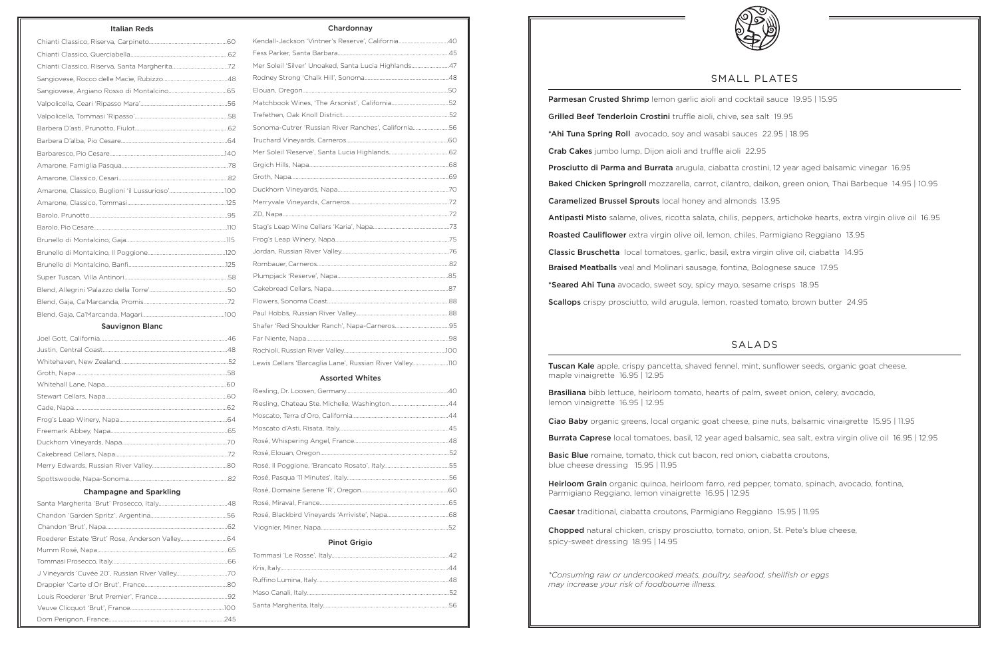# SMALL PLATES

Parmesan Crusted Shrimp lemon garlic aioli and cocktail sauce 19.95 | 15.95 Grilled Beef Tenderloin Crostini truffle aioli, chive, sea salt 19.95 \*Ahi Tuna Spring Roll avocado, soy and wasabi sauces 22.95 | 18.95 Crab Cakes jumbo lump, Dijon aioli and truffle aioli 22.95 Prosciutto di Parma and Burrata arugula, ciabatta crostini, 12 year aged balsamic vinegar 16.95 Baked Chicken Springroll mozzarella, carrot, cilantro, daikon, green onion, Thai Barbeque 14.95 | 10.95 Caramelized Brussel Sprouts local honey and almonds 13.95 Antipasti Misto salame, olives, ricotta salata, chilis, peppers, artichoke hearts, extra virgin olive oil 16.95 Roasted Cauliflower extra virgin olive oil, lemon, chiles, Parmigiano Reggiano 13.95 Classic Bruschetta local tomatoes, garlic, basil, extra virgin olive oil, ciabatta 14.95 Braised Meatballs veal and Molinari sausage, fontina, Bolognese sauce 17.95 \*Seared Ahi Tuna avocado, sweet soy, spicy mayo, sesame crisps 18.95 Scallops crispy prosciutto, wild arugula, lemon, roasted tomato, brown butter 24.95

**Tuscan Kale** apple, crispy pancetta, shaved fennel, mint, sunflower seeds, organic goat cheese, maple vinaigrette 16.95 | 12.95

Basic Blue romaine, tomato, thick cut bacon, red onion, ciabatta croutons, blue cheese dressing 15.95 | 11.95

Heirloom Grain organic quinoa, heirloom farro, red pepper, tomato, spinach, avocado, fontina, Parmigiano Reggiano, lemon vinaigrette 16.95 | 12.95

# SALADS

Brasiliana bibb lettuce, heirloom tomato, hearts of palm, sweet onion, celery, avocado, lemon vinaigrette 16.95 | 12.95

Ciao Baby organic greens, local organic goat cheese, pine nuts, balsamic vinaigrette 15.95 | 11.95

Burrata Caprese local tomatoes, basil, 12 year aged balsamic, sea salt, extra virgin olive oil 16.95 | 12.95

Caesar traditional, ciabatta croutons, Parmigiano Reggiano 15.95 | 11.95

Chopped natural chicken, crispy prosciutto, tomato, onion, St. Pete's blue cheese, spicy-sweet dressing 18.95 | 14.95

*\*Consuming raw or undercooked meats, poultry, seafood, shellfish or eggs may increase your risk of foodbourne illness.*



## Italian Reds

## Sauvignon Blanc

#### Champagne and Sparkling

Chardonnay

| Kendall-Jackson 'Vintner's Reserve', California40       |  |
|---------------------------------------------------------|--|
|                                                         |  |
| Mer Soleil 'Silver' Unoaked, Santa Lucia Highlands47    |  |
|                                                         |  |
|                                                         |  |
|                                                         |  |
|                                                         |  |
| Sonoma-Cutrer 'Russian River Ranches', California56     |  |
|                                                         |  |
|                                                         |  |
|                                                         |  |
|                                                         |  |
|                                                         |  |
|                                                         |  |
|                                                         |  |
|                                                         |  |
|                                                         |  |
|                                                         |  |
|                                                         |  |
|                                                         |  |
|                                                         |  |
|                                                         |  |
|                                                         |  |
|                                                         |  |
|                                                         |  |
|                                                         |  |
| Lewis Cellars 'Barcaglia Lane', Russian River Valley110 |  |
| <b>A REPORT OF A REAL PROPERTY</b>                      |  |

#### Assorted Whites

# Pinot Grigio